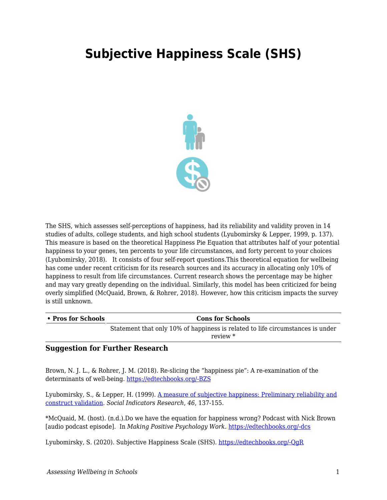## **Subjective Happiness Scale (SHS)**



The SHS, which assesses self-perceptions of happiness, had its reliability and validity proven in 14 studies of adults, college students, and high school students (Lyubomirsky & Lepper, 1999, p. 137). This measure is based on the theoretical Happiness Pie Equation that attributes half of your potential happiness to your genes, ten percents to your life circumstances, and forty percent to your choices (Lyubomirsky, 2018). It consists of four self-report questions.This theoretical equation for wellbeing has come under recent criticism for its research sources and its accuracy in allocating only 10% of happiness to result from life circumstances. Current research shows the percentage may be higher and may vary greatly depending on the individual. Similarly, this model has been criticized for being overly simplified (McQuaid, Brown, & Rohrer, 2018). However, how this criticism impacts the survey is still unknown.

| • Pros for Schools | <b>Cons for Schools</b>                                                                      |
|--------------------|----------------------------------------------------------------------------------------------|
|                    | Statement that only 10% of happiness is related to life circumstances is under<br>review $*$ |
|                    |                                                                                              |

## **Suggestion for Further Research**

Brown, N. J. L., & Rohrer, J. M. (2018). Re-slicing the "happiness pie": A re-examination of the determinants of well-being. [https://edtechbooks.org/-BZS](https://doi.org/10.31234/osf.io/qv85g)

Lyubomirsky, S., & Lepper, H. (1999). [A measure of subjective happiness: Preliminary reliability and](https://link.springer.com/article/10.1023/A:1006824100041) [construct validation](https://link.springer.com/article/10.1023/A:1006824100041). *Social Indicators Research*, *46*, 137-155.

\*McQuaid, M. (host). (n.d.).Do we have the equation for happiness wrong? Podcast with Nick Brown [audio podcast episode]. In *Making Positive Psychology Work.* [https://edtechbooks.org/-dcs](https://www.michellemcquaid.com/podcast/happiness-equation-wrong-podcast-nick-brown/)

Lyubomirsky, S. (2020). Subjective Happiness Scale (SHS). [https://edtechbooks.org/-QgR](http://sonjalyubomirsky.com/subjective-happiness-scale-shs/)